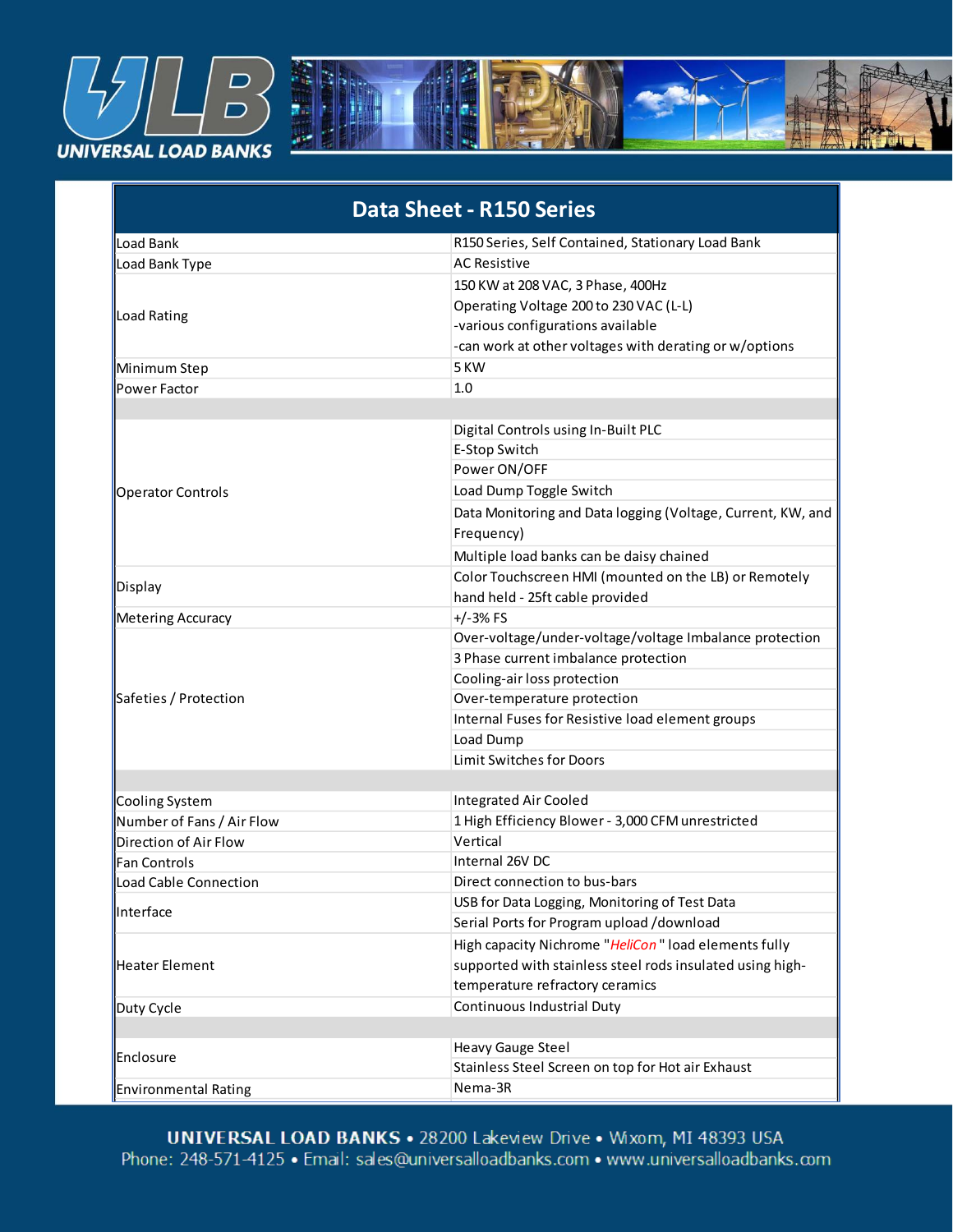

| <b>Data Sheet - R150 Series</b> |                                                             |  |
|---------------------------------|-------------------------------------------------------------|--|
| Load Bank                       | R150 Series, Self Contained, Stationary Load Bank           |  |
| Load Bank Type                  | <b>AC Resistive</b>                                         |  |
| Load Rating                     | 150 KW at 208 VAC, 3 Phase, 400Hz                           |  |
|                                 | Operating Voltage 200 to 230 VAC (L-L)                      |  |
|                                 | -various configurations available                           |  |
|                                 | -can work at other voltages with derating or w/options      |  |
| Minimum Step                    | 5 KW                                                        |  |
| Power Factor                    | 1.0                                                         |  |
|                                 |                                                             |  |
|                                 | Digital Controls using In-Built PLC                         |  |
|                                 | E-Stop Switch                                               |  |
|                                 | Power ON/OFF                                                |  |
| <b>Operator Controls</b>        | Load Dump Toggle Switch                                     |  |
|                                 | Data Monitoring and Data logging (Voltage, Current, KW, and |  |
|                                 | Frequency)                                                  |  |
|                                 | Multiple load banks can be daisy chained                    |  |
| Display                         | Color Touchscreen HMI (mounted on the LB) or Remotely       |  |
|                                 | hand held - 25ft cable provided                             |  |
| <b>Metering Accuracy</b>        | $+/-3%$ FS                                                  |  |
|                                 | Over-voltage/under-voltage/voltage Imbalance protection     |  |
| Safeties / Protection           | 3 Phase current imbalance protection                        |  |
|                                 | Cooling-air loss protection                                 |  |
|                                 | Over-temperature protection                                 |  |
|                                 | Internal Fuses for Resistive load element groups            |  |
|                                 | Load Dump                                                   |  |
|                                 | Limit Switches for Doors                                    |  |
|                                 |                                                             |  |
| Cooling System                  | <b>Integrated Air Cooled</b>                                |  |
| Number of Fans / Air Flow       | 1 High Efficiency Blower - 3,000 CFM unrestricted           |  |
| Direction of Air Flow           | Vertical                                                    |  |
| <b>Fan Controls</b>             | Internal 26V DC                                             |  |
| Load Cable Connection           | Direct connection to bus-bars                               |  |
| Interface                       | USB for Data Logging, Monitoring of Test Data               |  |
|                                 | Serial Ports for Program upload /download                   |  |
| Heater Element                  | High capacity Nichrome "HeliCon" load elements fully        |  |
|                                 | supported with stainless steel rods insulated using high-   |  |
|                                 | temperature refractory ceramics                             |  |
| Duty Cycle                      | <b>Continuous Industrial Duty</b>                           |  |
|                                 |                                                             |  |
| Enclosure                       | <b>Heavy Gauge Steel</b>                                    |  |
|                                 | Stainless Steel Screen on top for Hot air Exhaust           |  |
| <b>Environmental Rating</b>     | Nema-3R                                                     |  |

 $N_{\text{max}}$ Surface Finish  $98.1$  also is an Drive  $\sim 14$ 1350 lbs. / 614 Kgs Polyester Power Coat, Matt Finish